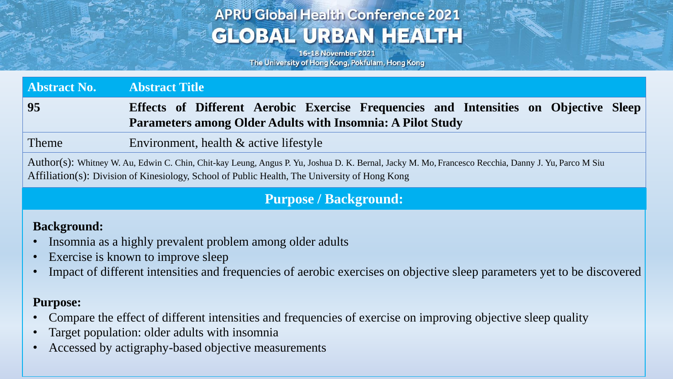# **APRU Global Health Conference 2021 GLOBAL URBAN HEALTH**

16-18 November 2021 The University of Hong Kong, Pokfulam, Hong Kong

**Abstract No. Abstract Title 95 Effects of Different Aerobic Exercise Frequencies and Intensities on Objective Sleep Parameters among Older Adults with Insomnia: A Pilot Study**

Theme Environment, health & active lifestyle

Author(s): Whitney W. Au, Edwin C. Chin, Chit-kay Leung, Angus P. Yu, Joshua D. K. Bernal, Jacky M. Mo, Francesco Recchia, Danny J. Yu, Parco M Siu Affiliation(s): Division of Kinesiology, School of Public Health, The University of Hong Kong

### **Purpose / Background:**

#### **Background:**

- Insomnia as a highly prevalent problem among older adults
- Exercise is known to improve sleep
- Impact of different intensities and frequencies of aerobic exercises on objective sleep parameters yet to be discovered

### **Purpose:**

- Compare the effect of different intensities and frequencies of exercise on improving objective sleep quality
- Target population: older adults with insomnia
- Accessed by actigraphy-based objective measurements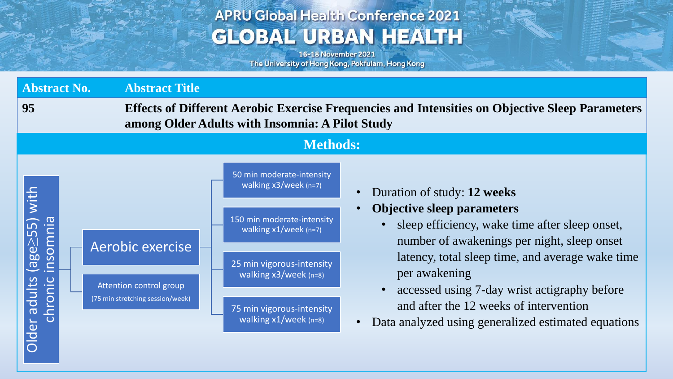# **APRU Global Health Conference 2021 GLOBAL URBAN HEALTH**

16-18 November 2021 The University of Hong Kong, Pokfulam, Hong Kong

**Age State Plane** 

| <b>Abstract No.</b>                                         | <b>Abstract Title</b>                                                                                                                                                                                                                                                                                                                                                                                                                                                                                                                                                                                                                                                                                        |
|-------------------------------------------------------------|--------------------------------------------------------------------------------------------------------------------------------------------------------------------------------------------------------------------------------------------------------------------------------------------------------------------------------------------------------------------------------------------------------------------------------------------------------------------------------------------------------------------------------------------------------------------------------------------------------------------------------------------------------------------------------------------------------------|
| 95                                                          | <b>Effects of Different Aerobic Exercise Frequencies and Intensities on Objective Sleep Parameters</b><br>among Older Adults with Insomnia: A Pilot Study                                                                                                                                                                                                                                                                                                                                                                                                                                                                                                                                                    |
|                                                             | <b>Methods:</b>                                                                                                                                                                                                                                                                                                                                                                                                                                                                                                                                                                                                                                                                                              |
| (age≥55) with<br><u>Einsomnia</u><br>Ider adults<br>chronic | 50 min moderate-intensity<br>walking x3/week (n=7)<br>Duration of study: 12 weeks<br><b>Objective sleep parameters</b><br>150 min moderate-intensity<br>sleep efficiency, wake time after sleep onset,<br>walking $x1/$ week (n=7)<br>number of awakenings per night, sleep onset<br>Aerobic exercise<br>latency, total sleep time, and average wake time<br>25 min vigorous-intensity<br>per awakening<br>walking $x3/$ week (n=8)<br>Attention control group<br>accessed using 7-day wrist actigraphy before<br>(75 min stretching session/week)<br>and after the 12 weeks of intervention<br>75 min vigorous-intensity<br>walking $x1/$ week (n=8)<br>Data analyzed using generalized estimated equations |